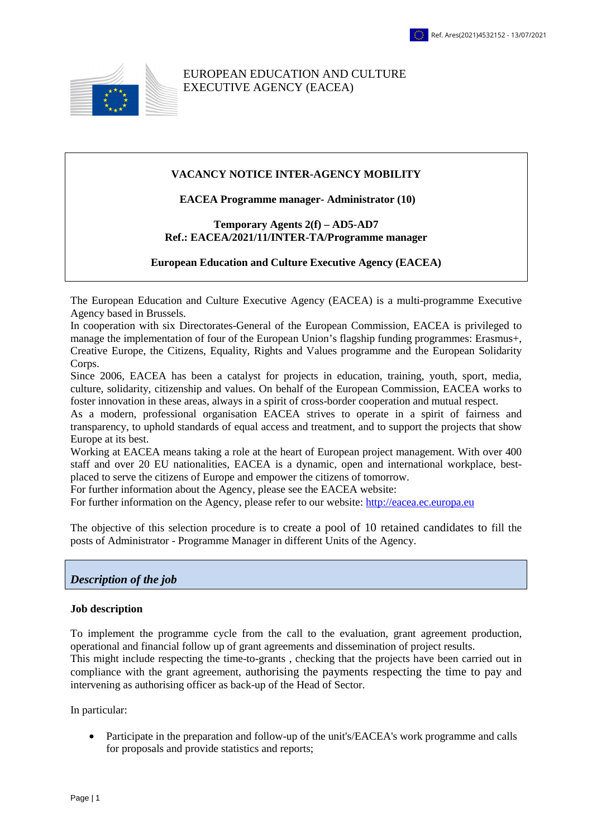

EUROPEAN EDUCATION AND CULTURE EXECUTIVE AGENCY (EACEA)

#### **VACANCY NOTICE INTER-AGENCY MOBILITY**

 **EACEA Programme manager- Administrator (10)** 

#### **Temporary Agents 2(f) – AD5-AD7 Ref.: EACEA/2021/11/INTER-TA/Programme manager**

### **European Education and Culture Executive Agency (EACEA)**

The European Education and Culture Executive Agency (EACEA) is a multi-programme Executive Agency based in Brussels.

In cooperation with six Directorates-General of the European Commission, EACEA is privileged to manage the implementation of four of the European Union's flagship funding programmes: Erasmus+, Creative Europe, the Citizens, Equality, Rights and Values programme and the European Solidarity Corps.

Since 2006, EACEA has been a catalyst for projects in education, training, youth, sport, media, culture, solidarity, citizenship and values. On behalf of the European Commission, EACEA works to foster innovation in these areas, always in a spirit of cross-border cooperation and mutual respect.

As a modern, professional organisation EACEA strives to operate in a spirit of fairness and transparency, to uphold standards of equal access and treatment, and to support the projects that show Europe at its best.

Working at EACEA means taking a role at the heart of European project management. With over 400 staff and over 20 EU nationalities, EACEA is a dynamic, open and international workplace, bestplaced to serve the citizens of Europe and empower the citizens of tomorrow.

For further information about the Agency, please see the EACEA website:

For further information on the Agency, please refer to our website: htt[p://eacea.ec.europa.eu](http://eacea.ec.europa.eu/)

The objective of this selection procedure is to create a pool of 10 retained candidates to fill the posts of Administrator - Programme Manager in different Units of the Agency.

# *Description of the job*

### **Job description**

To implement the programme cycle from the call to the evaluation, grant agreement production, operational and financial follow up of grant agreements and dissemination of project results. This might include respecting the time-to-grants , checking that the projects have been carried out in compliance with the grant agreement, authorising the payments respecting the time to pay and intervening as authorising officer as back-up of the Head of Sector.

In particular:

• Participate in the preparation and follow-up of the unit's/EACEA's work programme and calls for proposals and provide statistics and reports;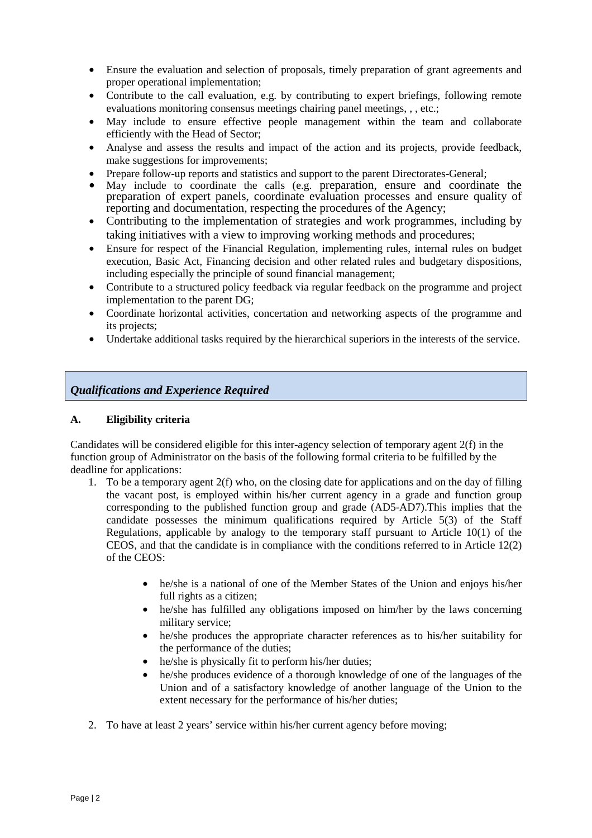- Ensure the evaluation and selection of proposals, timely preparation of grant agreements and proper operational implementation;
- Contribute to the call evaluation, e.g. by contributing to expert briefings, following remote evaluations monitoring consensus meetings chairing panel meetings, , , etc.;
- May include to ensure effective people management within the team and collaborate efficiently with the Head of Sector;
- Analyse and assess the results and impact of the action and its projects, provide feedback, make suggestions for improvements;
- Prepare follow-up reports and statistics and support to the parent Directorates-General;
- May include to coordinate the calls (e.g. preparation, ensure and coordinate the preparation of expert panels, coordinate evaluation processes and ensure quality of reporting and documentation, respecting the procedures of the Agency;
- Contributing to the implementation of strategies and work programmes, including by taking initiatives with a view to improving working methods and procedures;
- Ensure for respect of the Financial Regulation, implementing rules, internal rules on budget execution, Basic Act, Financing decision and other related rules and budgetary dispositions, including especially the principle of sound financial management;
- Contribute to a structured policy feedback via regular feedback on the programme and project implementation to the parent DG;
- Coordinate horizontal activities, concertation and networking aspects of the programme and its projects;
- Undertake additional tasks required by the hierarchical superiors in the interests of the service.

# *Qualifications and Experience Required*

## **A. Eligibility criteria**

Candidates will be considered eligible for this inter-agency selection of temporary agent 2(f) in the function group of Administrator on the basis of the following formal criteria to be fulfilled by the deadline for applications:

- 1. To be a temporary agent 2(f) who, on the closing date for applications and on the day of filling the vacant post, is employed within his/her current agency in a grade and function group corresponding to the published function group and grade (AD5-AD7).This implies that the candidate possesses the minimum qualifications required by Article 5(3) of the Staff Regulations, applicable by analogy to the temporary staff pursuant to Article 10(1) of the CEOS, and that the candidate is in compliance with the conditions referred to in Article 12(2) of the CEOS:
	- he/she is a national of one of the Member States of the Union and enjoys his/her full rights as a citizen;
	- he/she has fulfilled any obligations imposed on him/her by the laws concerning military service;
	- he/she produces the appropriate character references as to his/her suitability for the performance of the duties;
	- he/she is physically fit to perform his/her duties:
	- he/she produces evidence of a thorough knowledge of one of the languages of the Union and of a satisfactory knowledge of another language of the Union to the extent necessary for the performance of his/her duties;
- 2. To have at least 2 years' service within his/her current agency before moving;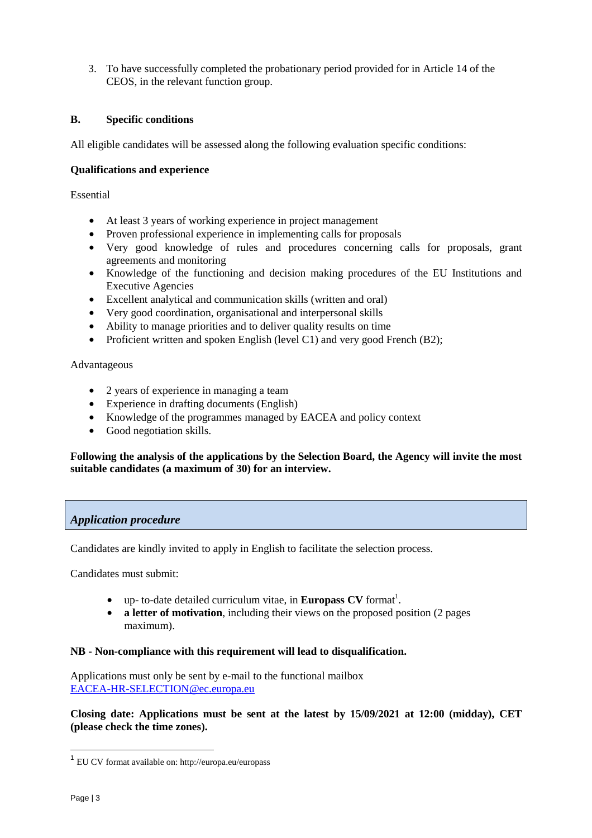3. To have successfully completed the probationary period provided for in Article 14 of the CEOS, in the relevant function group.

# **B. Specific conditions**

All eligible candidates will be assessed along the following evaluation specific conditions:

## **Qualifications and experience**

Essential

- At least 3 years of working experience in project management
- Proven professional experience in implementing calls for proposals
- Very good knowledge of rules and procedures concerning calls for proposals, grant agreements and monitoring
- Knowledge of the functioning and decision making procedures of the EU Institutions and Executive Agencies
- Excellent analytical and communication skills (written and oral)
- Very good coordination, organisational and interpersonal skills
- Ability to manage priorities and to deliver quality results on time
- Proficient written and spoken English (level C1) and very good French (B2);

Advantageous

- 2 years of experience in managing a team
- Experience in drafting documents (English)
- Knowledge of the programmes managed by EACEA and policy context
- Good negotiation skills.

## **Following the analysis of the applications by the Selection Board, the Agency will invite the most suitable candidates (a maximum of 30) for an interview.**

# *Application procedure*

Candidates are kindly invited to apply in English to facilitate the selection process.

Candidates must submit:

- up- to-date detailed curriculum vitae, in **Europass CV** format<sup>1</sup>.
- **a letter of motivation**, including their views on the proposed position (2 pages maximum).

## **NB - Non-compliance with this requirement will lead to disqualification.**

Applications must only be sent by e-mail to the functional mailbox [EACEA-HR-SELECTION@ec.europa.eu](mailto:EACEA-HR-SELECTION@ec.europa.eu)

**Closing date: Applications must be sent at the latest by 15/09/2021 at 12:00 (midday), CET (please check the time zones).** 

 $\overline{1}$ 

<sup>1</sup> EU CV format available on: http://europa.eu/europass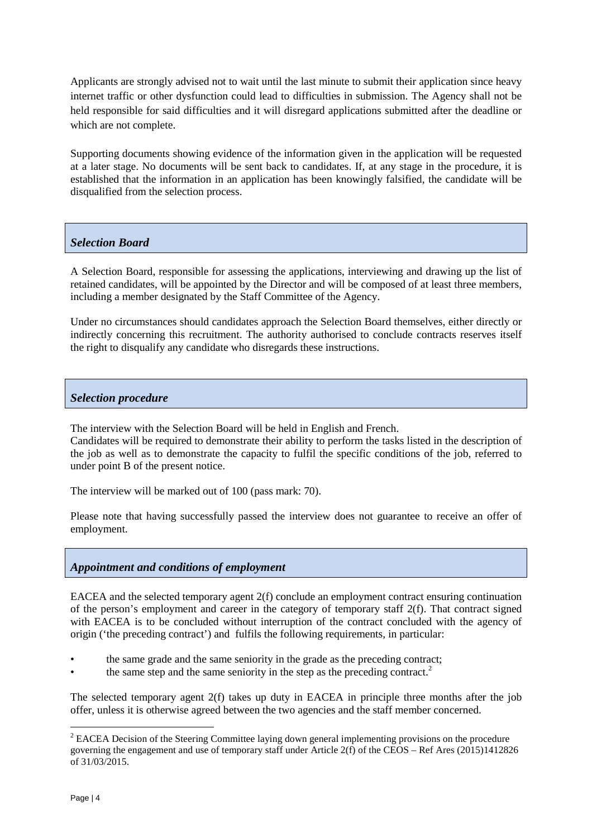Applicants are strongly advised not to wait until the last minute to submit their application since heavy internet traffic or other dysfunction could lead to difficulties in submission. The Agency shall not be held responsible for said difficulties and it will disregard applications submitted after the deadline or which are not complete.

Supporting documents showing evidence of the information given in the application will be requested at a later stage. No documents will be sent back to candidates. If, at any stage in the procedure, it is established that the information in an application has been knowingly falsified, the candidate will be disqualified from the selection process.

# *Selection Board*

A Selection Board, responsible for assessing the applications, interviewing and drawing up the list of retained candidates, will be appointed by the Director and will be composed of at least three members, including a member designated by the Staff Committee of the Agency.

Under no circumstances should candidates approach the Selection Board themselves, either directly or indirectly concerning this recruitment. The authority authorised to conclude contracts reserves itself the right to disqualify any candidate who disregards these instructions.

# *Selection procedure*

The interview with the Selection Board will be held in English and French.

Candidates will be required to demonstrate their ability to perform the tasks listed in the description of the job as well as to demonstrate the capacity to fulfil the specific conditions of the job, referred to under point B of the present notice.

The interview will be marked out of 100 (pass mark: 70).

Please note that having successfully passed the interview does not guarantee to receive an offer of employment.

# *Appointment and conditions of employment*

EACEA and the selected temporary agent 2(f) conclude an employment contract ensuring continuation of the person's employment and career in the category of temporary staff 2(f). That contract signed with EACEA is to be concluded without interruption of the contract concluded with the agency of origin ('the preceding contract') and fulfils the following requirements, in particular:

- the same grade and the same seniority in the grade as the preceding contract;
- the same step and the same seniority in the step as the preceding contract.<sup>2</sup>

The selected temporary agent 2(f) takes up duty in EACEA in principle three months after the job offer, unless it is otherwise agreed between the two agencies and the staff member concerned.

<sup>&</sup>lt;sup>2</sup> EACEA Decision of the Steering Committee laying down general implementing provisions on the procedure governing the engagement and use of temporary staff under Article 2(f) of the CEOS – Ref Ares (2015)1412826 of 31/03/2015.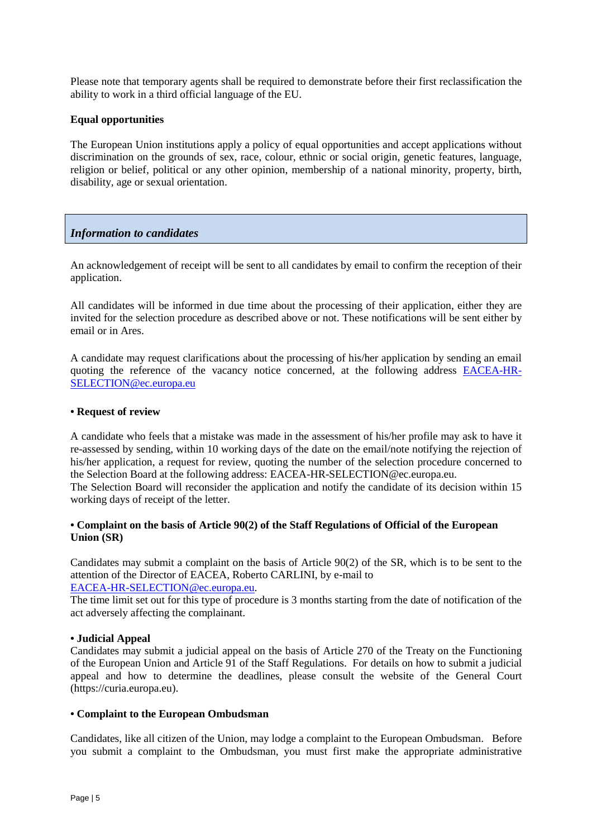Please note that temporary agents shall be required to demonstrate before their first reclassification the ability to work in a third official language of the EU.

## **Equal opportunities**

The European Union institutions apply a policy of equal opportunities and accept applications without discrimination on the grounds of sex, race, colour, ethnic or social origin, genetic features, language, religion or belief, political or any other opinion, membership of a national minority, property, birth, disability, age or sexual orientation.

# *Information to candidates*

An acknowledgement of receipt will be sent to all candidates by email to confirm the reception of their application.

All candidates will be informed in due time about the processing of their application, either they are invited for the selection procedure as described above or not. These notifications will be sent either by email or in Ares.

A candidate may request clarifications about the processing of his/her application by sending an email quoting the reference of the vacancy notice concerned, at the following address [EACEA-HR-](mailto:EACEA-HR-SELECTION@ec.europa.eu)[SELECTION@ec.europa.eu](mailto:EACEA-HR-SELECTION@ec.europa.eu)

### **• Request of review**

A candidate who feels that a mistake was made in the assessment of his/her profile may ask to have it re-assessed by sending, within 10 working days of the date on the email/note notifying the rejection of his/her application, a request for review, quoting the number of the selection procedure concerned to the Selection Board at the following address: EACEA-HR-SELECTION@ec.europa.eu.

The Selection Board will reconsider the application and notify the candidate of its decision within 15 working days of receipt of the letter.

## **• Complaint on the basis of Article 90(2) of the Staff Regulations of Official of the European Union (SR)**

Candidates may submit a complaint on the basis of Article 90(2) of the SR, which is to be sent to the attention of the Director of EACEA, Roberto CARLINI, by e-mail to [EACEA-HR-SELECTION@ec.europa.eu.](mailto:EACEA-HR-SELECTION@ec.europa.eu) 

The time limit set out for this type of procedure is 3 months starting from the date of notification of the act adversely affecting the complainant.

### **• Judicial Appeal**

Candidates may submit a judicial appeal on the basis of Article 270 of the Treaty on the Functioning of the European Union and Article 91 of the Staff Regulations. For details on how to submit a judicial appeal and how to determine the deadlines, please consult the website of the General Court (https://curia.europa.eu).

### **• Complaint to the European Ombudsman**

Candidates, like all citizen of the Union, may lodge a complaint to the European Ombudsman. Before you submit a complaint to the Ombudsman, you must first make the appropriate administrative